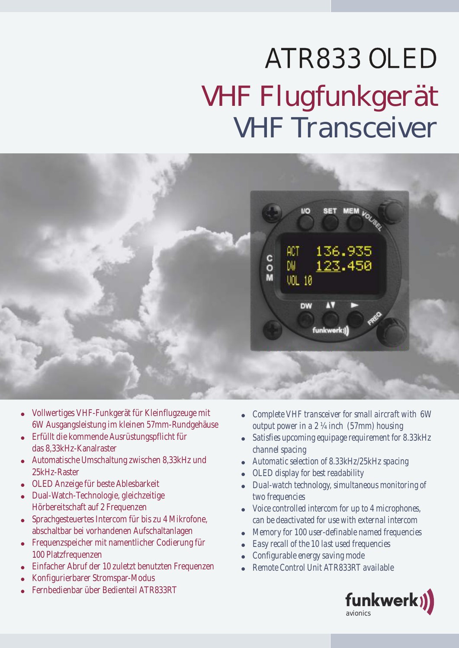## ATR833 OLED VHF Flugfunkgerät VHF Transceiver



- ! Vollwertiges VHF-Funkgerät für Kleinflugzeuge mit 6W Ausgangsleistung im kleinen 57mm-Rundgehäuse
- ! Erfüllt die kommende Ausrüstungspflicht für das 8,33kHz-Kanalraster
- ! Automatische Umschaltung zwischen 8,33kHz und 25kHz-Raster
- ! OLED Anzeige für beste Ablesbarkeit
- ! Dual-Watch-Technologie, gleichzeitige Hörbereitschaft auf 2 Frequenzen
- ! Sprachgesteuertes Intercom für bis zu 4 Mikrofone, abschaltbar bei vorhandenen Aufschaltanlagen
- ! Frequenzspeicher mit namentlicher Codierung für 100 Platzfrequenzen
- Einfacher Abruf der 10 zuletzt benutzten Frequenzen
- ! Konfigurierbarer Stromspar-Modus
- ! Fernbedienbar über Bedienteil ATR833RT
- ! *Complete VHF transceiver for small aircraft with 6W output power in a 2 ¼ inch (57mm) housing*
- ! *Satisfies upcoming equipage requirement for 8.33kHz channel spacing*
- ! *Automatic selection of 8.33kHz/25kHz spacing*
- ! *OLED display for best readability*
- ! *Dual-watch technology, simultaneous monitoring of two frequencies*
- ! *Voice controlled intercom for up to 4 microphones, can be deactivated for use with external intercom*
- ! *Memory for 100 user-definable named frequencies*
- ! *Easy recall of the 10 last used frequencies*
- ! *Configurable energy saving mode*
- ! *Remote Control Unit ATR833RT available*